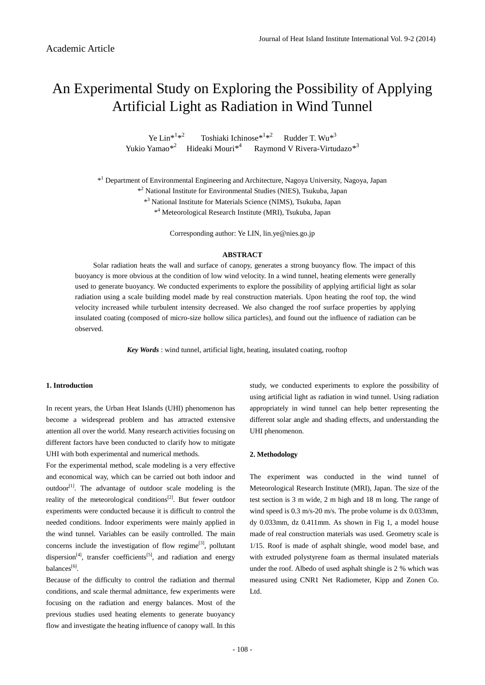# An Experimental Study on Exploring the Possibility of Applying Artificial Light as Radiation in Wind Tunnel

Ye Lin\* $1*^2$ Toshiaki Ichinose $*^{1*^{2}}$  Rudder T. Wu $*^{3}$ Yukio Yamao<sup>\*2</sup> Hideaki Mouri<sup>\*4</sup> Raymond V Rivera-Virtudazo<sup>\*3</sup>

\*<sup>1</sup> Department of Environmental Engineering and Architecture, Nagoya University, Nagoya, Japan

\* <sup>2</sup> National Institute for Environmental Studies (NIES), Tsukuba, Japan

\* <sup>3</sup> National Institute for Materials Science (NIMS), Tsukuba, Japan

\* <sup>4</sup> Meteorological Research Institute (MRI), Tsukuba, Japan

Corresponding author: Ye LIN, lin.ye@nies.go.jp

#### **ABSTRACT**

Solar radiation heats the wall and surface of canopy, generates a strong buoyancy flow. The impact of this buoyancy is more obvious at the condition of low wind velocity. In a wind tunnel, heating elements were generally used to generate buoyancy. We conducted experiments to explore the possibility of applying artificial light as solar radiation using a scale building model made by real construction materials. Upon heating the roof top, the wind velocity increased while turbulent intensity decreased. We also changed the roof surface properties by applying insulated coating (composed of micro-size hollow silica particles), and found out the influence of radiation can be observed.

 *Key Words* : wind tunnel, artificial light, heating, insulated coating, rooftop

#### **1. Introduction**

In recent years, the Urban Heat Islands (UHI) phenomenon has become a widespread problem and has attracted extensive attention all over the world. Many research activities focusing on different factors have been conducted to clarify how to mitigate UHI with both experimental and numerical methods.

For the experimental method, scale modeling is a very effective and economical way, which can be carried out both indoor and outdoor<sup>[\[1\]](#page-3-0)</sup>. The advantage of outdoor scale modeling is the reality of the meteorological conditions<sup>[\[2\]](#page-3-1)</sup>. But fewer outdoor experiments were conducted because it is difficult to control the needed conditions. Indoor experiments were mainly applied in the wind tunnel. Variables can be easily controlled. The main concerns include the investigation of flow regime<sup>[\[3\]](#page-3-2)</sup>, pollutant dispersion<sup>[\[4\]](#page-4-0)</sup>, transfer coefficients<sup>[\[5\]](#page-4-1)</sup>, and radiation and energy balances[\[6\]](#page-4-2).

Because of the difficulty to control the radiation and thermal conditions, and scale thermal admittance, few experiments were focusing on the radiation and energy balances. Most of the previous studies used heating elements to generate buoyancy flow and investigate the heating influence of canopy wall. In this

study, we conducted experiments to explore the possibility of using artificial light as radiation in wind tunnel. Using radiation appropriately in wind tunnel can help better representing the different solar angle and shading effects, and understanding the UHI phenomenon.

#### **2. Methodology**

The experiment was conducted in the wind tunnel of Meteorological Research Institute (MRI), Japan. The size of the test section is 3 m wide, 2 m high and 18 m long. The range of wind speed is 0.3 m/s-20 m/s. The probe volume is dx 0.033mm, dy 0.033mm, dz 0.411mm. As shown in Fig 1, a model house made of real construction materials was used. Geometry scale is 1/15. Roof is made of asphalt shingle, wood model base, and with extruded polystyrene foam as thermal insulated materials under the roof. Albedo of used asphalt shingle is 2 % which was measured using CNR1 Net Radiometer, Kipp and Zonen Co. Ltd.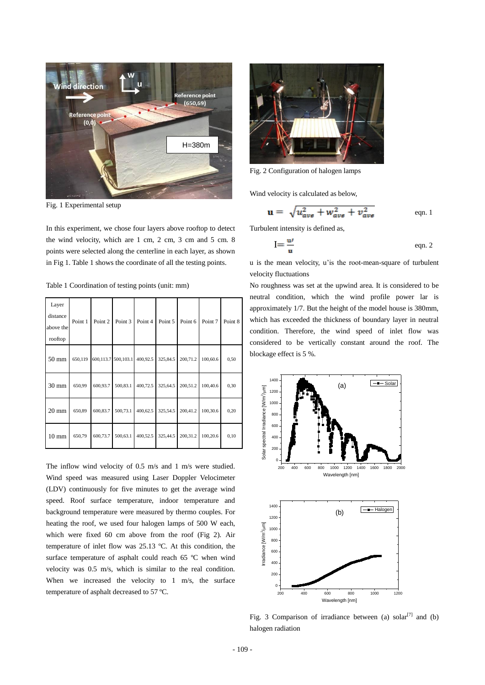

Fig. 1 Experimental setup

In this experiment, we chose four layers above rooftop to detect the wind velocity, which are 1 cm, 2 cm, 3 cm and 5 cm. 8 points were selected along the centerline in each layer, as shown in Fig 1. Table 1 shows the coordinate of all the testing points.

Table 1 Coordination of testing points (unit: mm)

| Layer<br>distance<br>above the<br>rooftop | Point 1 | Point 2  | Point 3             | Point 4  | Point 5  | Point 6  | Point 7  | Point 8 |
|-------------------------------------------|---------|----------|---------------------|----------|----------|----------|----------|---------|
| $50 \text{ mm}$                           | 650,119 |          | 600,113.7 500,103.1 | 400,92.5 | 325,84.5 | 200,71.2 | 100,60.6 | 0,50    |
| $30 \text{ mm}$                           | 650,99  | 600,93.7 | 500,83.1            | 400,72.5 | 325,64.5 | 200,51.2 | 100,40.6 | 0,30    |
| $20 \text{ mm}$                           | 650,89  | 600,83.7 | 500,73.1            | 400,62.5 | 325,54.5 | 200,41.2 | 100,30.6 | 0,20    |
| $10 \text{ mm}$                           | 650,79  | 600,73.7 | 500,63.1            | 400,52.5 | 325,44.5 | 200,31.2 | 100,20.6 | 0,10    |

The inflow wind velocity of 0.5 m/s and 1 m/s were studied. Wind speed was measured using Laser Doppler Velocimeter (LDV) continuously for five minutes to get the average wind speed. Roof surface temperature, indoor temperature and background temperature were measured by thermo couples. For heating the roof, we used four halogen lamps of 500 W each, which were fixed 60 cm above from the roof (Fig 2). Air temperature of inlet flow was 25.13 ºC. At this condition, the surface temperature of asphalt could reach 65 ºC when wind velocity was 0.5 m/s, which is similar to the real condition. When we increased the velocity to 1 m/s, the surface temperature of asphalt decreased to 57 ºC.



Fig. 2 Configuration of halogen lamps

Wind velocity is calculated as below,

$$
\mathbf{u} = \sqrt{u_{\text{ave}}^2 + w_{\text{ave}}^2 + v_{\text{ave}}^2}
$$
 eqn. 1

Turbulent intensity is defined as,

$$
I = \frac{u'}{u}
$$
 eqn. 2

u is the mean velocity, u'is the root-mean-square of turbulent velocity fluctuations

No roughness was set at the upwind area. It is considered to be neutral condition, which the wind profile power lar is approximately 1/7. But the height of the model house is 380mm, which has exceeded the thickness of boundary layer in neutral condition. Therefore, the wind speed of inlet flow was considered to be vertically constant around the roof. The blockage effect is 5 %.



Fig. 3 Comparison of irradiance between (a) solar<sup>[\[7\]](#page-4-3)</sup> and (b) halogen radiation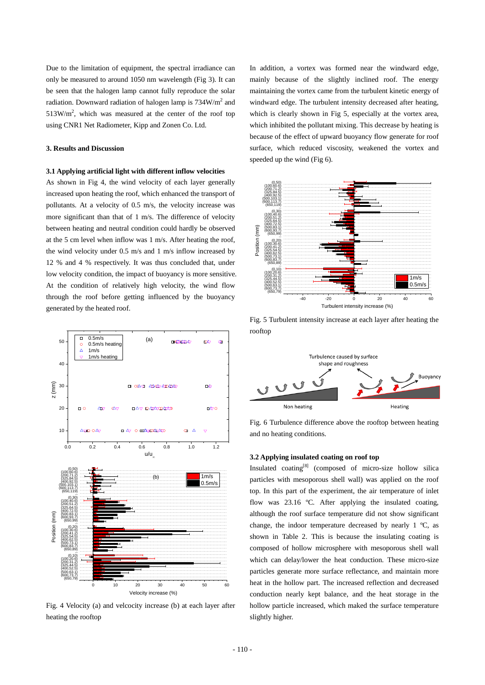Due to the limitation of equipment, the spectral irradiance can only be measured to around 1050 nm wavelength (Fig 3). It can be seen that the halogen lamp cannot fully reproduce the solar radiation. Downward radiation of halogen lamp is  $734W/m<sup>2</sup>$  and  $513$ W/m<sup>2</sup>, which was measured at the center of the roof top using CNR1 Net Radiometer, Kipp and Zonen Co. Ltd.

### **3. Results and Discussion**

#### **3.1 Applying artificial light with different inflow velocities**

As shown in Fig 4, the wind velocity of each layer generally increased upon heating the roof, which enhanced the transport of pollutants. At a velocity of 0.5 m/s, the velocity increase was more significant than that of 1 m/s. The difference of velocity between heating and neutral condition could hardly be observed at the 5 cm level when inflow was 1 m/s. After heating the roof, the wind velocity under 0.5 m/s and 1 m/s inflow increased by 12 % and 4 % respectively. It was thus concluded that, under low velocity condition, the impact of buoyancy is more sensitive. At the condition of relatively high velocity, the wind flow through the roof before getting influenced by the buoyancy generated by the heated roof.



Fig. 4 Velocity (a) and velcocity increase (b) at each layer after heating the rooftop

In addition, a vortex was formed near the windward edge, mainly because of the slightly inclined roof. The energy maintaining the vortex came from the turbulent kinetic energy of windward edge. The turbulent intensity decreased after heating, which is clearly shown in Fig 5, especially at the vortex area, which inhibited the pollutant mixing. This decrease by heating is because of the effect of upward buoyancy flow generate for roof surface, which reduced viscosity, weakened the vortex and speeded up the wind (Fig 6).



Fig. 5 Turbulent intensity increase at each layer after heating the rooftop



Fig. 6 Turbulence difference above the rooftop between heating and no heating conditions.

## **3.2 Applying insulated coating on roof top**

 $\frac{1}{10}$  20 30 40 50 60 heat in the hollow part. The increased reflection and decreased  $1 \text{ m/s}$  particles with mesoporous shell wall) was applied on the roof Insulated coating<sup>[\[8\]](#page-4-4)</sup> (composed of micro-size hollow silica top. In this part of the experiment, the air temperature of inlet flow was 23.16 ºC. After applying the insulated coating, although the roof surface temperature did not show significant change, the indoor temperature decreased by nearly 1 ºC, as shown in Table 2. This is because the insulating coating is composed of hollow microsphere with mesoporous shell wall which can delay/lower the heat conduction. These micro-size particles generate more surface reflectance, and maintain more conduction nearly kept balance, and the heat storage in the hollow particle increased, which maked the surface temperature slightly higher.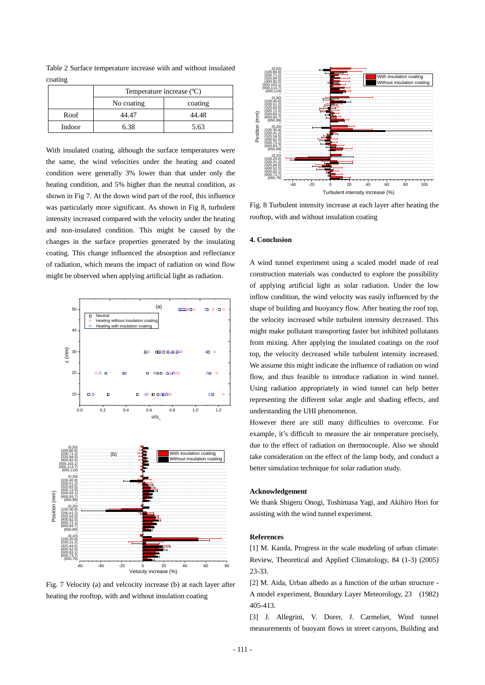Table 2 Surface temperature increase with and without insulated coating

|        | Temperature increase (°C) |         |  |  |  |
|--------|---------------------------|---------|--|--|--|
|        | No coating                | coating |  |  |  |
| Roof   | 44.47                     | 44.48   |  |  |  |
| Indoor | 6.38                      | 5.63    |  |  |  |

With insulated coating, although the surface temperatures were the same, the wind velocities under the heating and coated condition were generally 3% lower than that under only the heating condition, and 5% higher than the neutral condition, as shown in Fig 7. At the down wind part of the roof, this influence was particularly more significant. As shown in Fig 8, turbulent intensity increased compared with the velocity under the heating and non-insulated condition. This might be caused by the changes in the surface properties generated by the insulating coating. This change influenced the absorption and reflectance of radiation, which means the impact of radiation on wind flow might be observed when applying artificial light as radiation.





Fig. 7 Velocity (a) and velcocity increase (b) at each layer after heating the rooftop, with and without insulation coating



Fig. 8 Turbulent intensity increase at each layer after heating the rooftop, with and without insulation coating

#### **4. Conclusion**

A wind tunnel experiment using a scaled model made of real construction materials was conducted to explore the possibility of applying artificial light as solar radiation. Under the low inflow condition, the wind velocity was easily influenced by the shape of building and buoyancy flow. After heating the roof top, the velocity increased while turbulent intensity decreased. This might make pollutant transporting faster but inhibited pollutants from mixing. After applying the insulated coatings on the roof top, the velocity decreased while turbulent intensity increased. We assume this might indicate the influence of radiation on wind flow, and thus feasible to introduce radiation in wind tunnel. Using radiation appropriately in wind tunnel can help better representing the different solar angle and shading effects, and

However there are still many difficulties to overcome. For example, it's difficult to measure the air temperature precisely, due to the effect of radiation on thermocouple. Also we should take consideration on the effect of the lamp body, and conduct a better simulation technique for solar radiation study.

#### **Acknowledgement**

We thank Shigeru Onogi, Toshimasa Yagi, and Akihiro Hori for assisting with the wind tunnel experiment.

#### **References**

<span id="page-3-0"></span>[1] M. Kanda, Progress in the scale modeling of urban climate: Review, Theoretical and Applied Climatology, 84 (1-3) (2005) 23-33.

<span id="page-3-1"></span>[2] M. Aida, Urban albedo as a function of the urban structure - A model experiment, Boundary Layer Meteorology, 23 (1982) 405-413.

<span id="page-3-2"></span>[3] J. Allegrini, V. Dorer, J. Carmeliet, Wind tunnel measurements of buoyant flows in street canyons, Building and